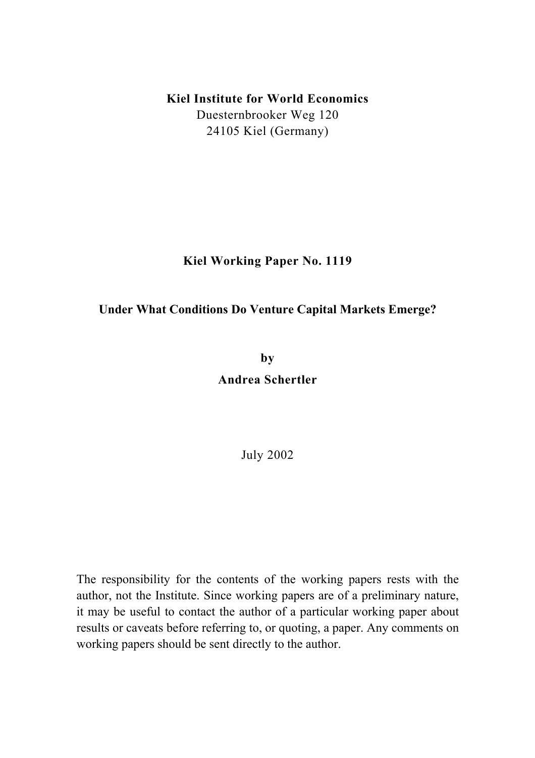## **Kiel Institute for World Economics**  Duesternbrooker Weg 120

24105 Kiel (Germany)

**Kiel Working Paper No. 1119** 

## **Under What Conditions Do Venture Capital Markets Emerge?**

**by** 

**Andrea Schertler** 

July 2002

The responsibility for the contents of the working papers rests with the author, not the Institute. Since working papers are of a preliminary nature, it may be useful to contact the author of a particular working paper about results or caveats before referring to, or quoting, a paper. Any comments on working papers should be sent directly to the author.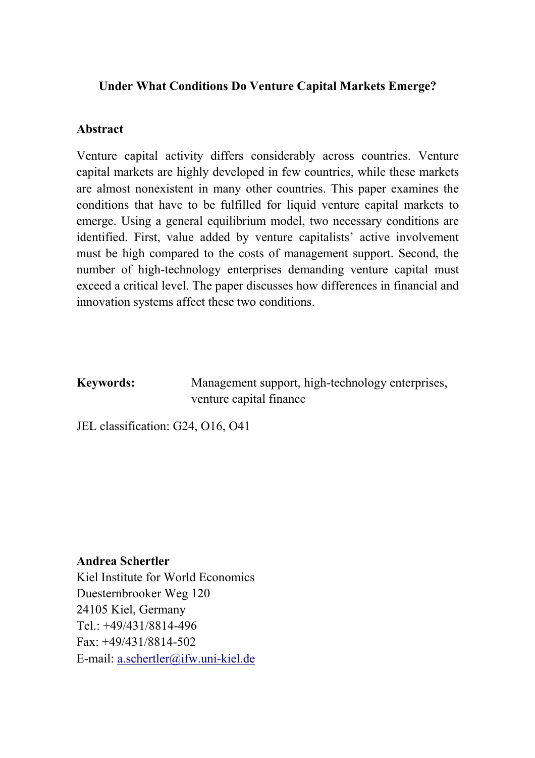## **Under What Conditions Do Venture Capital Markets Emerge?**

## **Abstract**

Venture capital activity differs considerably across countries. Venture capital markets are highly developed in few countries, while these markets are almost nonexistent in many other countries. This paper examines the conditions that have to be fulfilled for liquid venture capital markets to emerge. Using a general equilibrium model, two necessary conditions are identified. First, value added by venture capitalists' active involvement must be high compared to the costs of management support. Second, the number of high-technology enterprises demanding venture capital must exceed a critical level. The paper discusses how differences in financial and innovation systems affect these two conditions.

**Keywords:** Management support, high-technology enterprises, venture capital finance

JEL classification: G24, O16, O41

#### **Andrea Schertler**

Kiel Institute for World Economics Duesternbrooker Weg 120 24105 Kiel, Germany Tel.: +49/431/8814-496  $Fax \cdot +49/431/8814-502$ E-mail: a.schertler@ifw.uni-kiel.de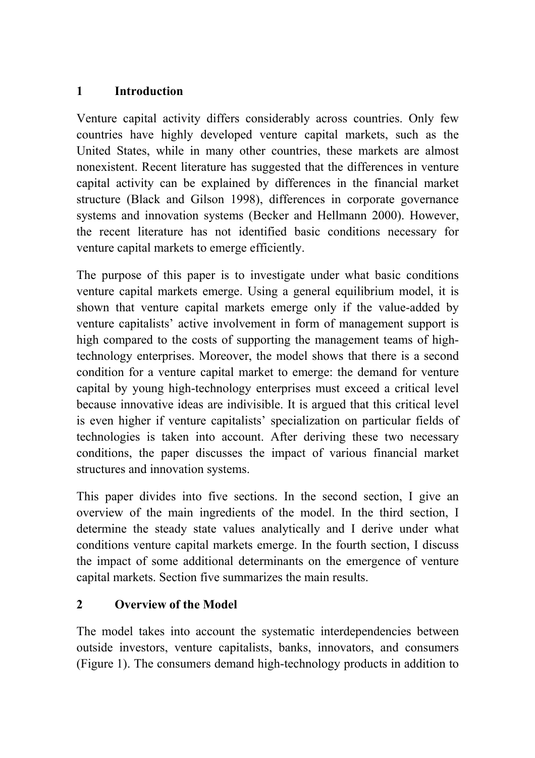# **1 Introduction**

Venture capital activity differs considerably across countries. Only few countries have highly developed venture capital markets, such as the United States, while in many other countries, these markets are almost nonexistent. Recent literature has suggested that the differences in venture capital activity can be explained by differences in the financial market structure (Black and Gilson 1998), differences in corporate governance systems and innovation systems (Becker and Hellmann 2000). However, the recent literature has not identified basic conditions necessary for venture capital markets to emerge efficiently.

The purpose of this paper is to investigate under what basic conditions venture capital markets emerge. Using a general equilibrium model, it is shown that venture capital markets emerge only if the value-added by venture capitalists' active involvement in form of management support is high compared to the costs of supporting the management teams of hightechnology enterprises. Moreover, the model shows that there is a second condition for a venture capital market to emerge: the demand for venture capital by young high-technology enterprises must exceed a critical level because innovative ideas are indivisible. It is argued that this critical level is even higher if venture capitalists' specialization on particular fields of technologies is taken into account. After deriving these two necessary conditions, the paper discusses the impact of various financial market structures and innovation systems.

This paper divides into five sections. In the second section, I give an overview of the main ingredients of the model. In the third section, I determine the steady state values analytically and I derive under what conditions venture capital markets emerge. In the fourth section, I discuss the impact of some additional determinants on the emergence of venture capital markets. Section five summarizes the main results.

# **2 Overview of the Model**

The model takes into account the systematic interdependencies between outside investors, venture capitalists, banks, innovators, and consumers (Figure 1). The consumers demand high-technology products in addition to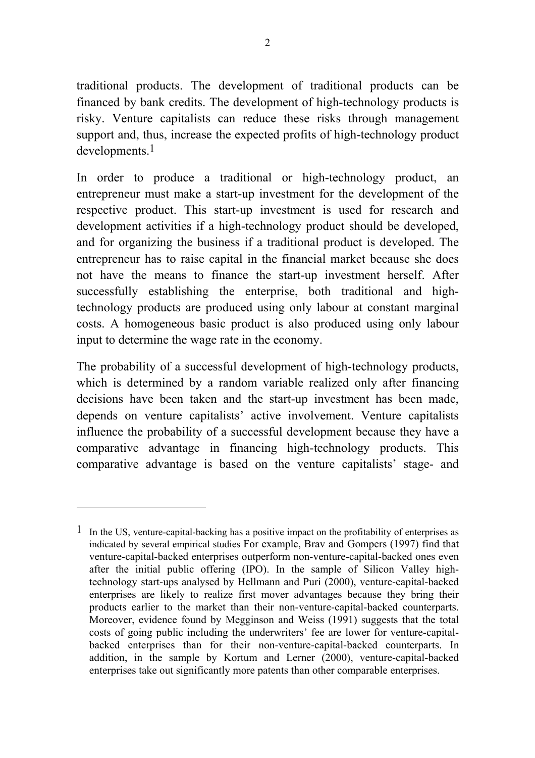traditional products. The development of traditional products can be financed by bank credits. The development of high-technology products is risky. Venture capitalists can reduce these risks through management support and, thus, increase the expected profits of high-technology product developments.1

In order to produce a traditional or high-technology product, an entrepreneur must make a start-up investment for the development of the respective product. This start-up investment is used for research and development activities if a high-technology product should be developed, and for organizing the business if a traditional product is developed. The entrepreneur has to raise capital in the financial market because she does not have the means to finance the start-up investment herself. After successfully establishing the enterprise, both traditional and hightechnology products are produced using only labour at constant marginal costs. A homogeneous basic product is also produced using only labour input to determine the wage rate in the economy.

The probability of a successful development of high-technology products, which is determined by a random variable realized only after financing decisions have been taken and the start-up investment has been made, depends on venture capitalists' active involvement. Venture capitalists influence the probability of a successful development because they have a comparative advantage in financing high-technology products. This comparative advantage is based on the venture capitalists' stage- and

l

 $1$  In the US, venture-capital-backing has a positive impact on the profitability of enterprises as indicated by several empirical studies For example, Brav and Gompers (1997) find that venture-capital-backed enterprises outperform non-venture-capital-backed ones even after the initial public offering (IPO). In the sample of Silicon Valley hightechnology start-ups analysed by Hellmann and Puri (2000), venture-capital-backed enterprises are likely to realize first mover advantages because they bring their products earlier to the market than their non-venture-capital-backed counterparts. Moreover, evidence found by Megginson and Weiss (1991) suggests that the total costs of going public including the underwriters' fee are lower for venture-capitalbacked enterprises than for their non-venture-capital-backed counterparts. In addition, in the sample by Kortum and Lerner (2000), venture-capital-backed enterprises take out significantly more patents than other comparable enterprises.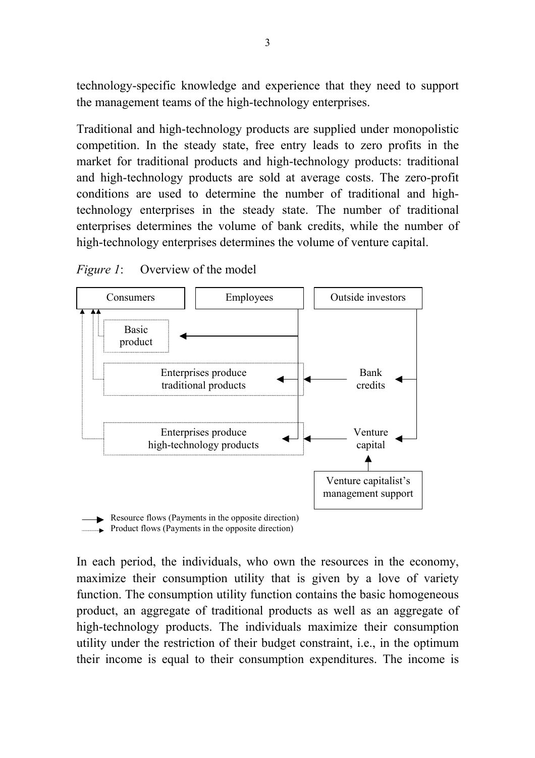technology-specific knowledge and experience that they need to support the management teams of the high-technology enterprises.

Traditional and high-technology products are supplied under monopolistic competition. In the steady state, free entry leads to zero profits in the market for traditional products and high-technology products: traditional and high-technology products are sold at average costs. The zero-profit conditions are used to determine the number of traditional and hightechnology enterprises in the steady state. The number of traditional enterprises determines the volume of bank credits, while the number of high-technology enterprises determines the volume of venture capital.





In each period, the individuals, who own the resources in the economy, maximize their consumption utility that is given by a love of variety function. The consumption utility function contains the basic homogeneous product, an aggregate of traditional products as well as an aggregate of high-technology products. The individuals maximize their consumption utility under the restriction of their budget constraint, i.e., in the optimum their income is equal to their consumption expenditures. The income is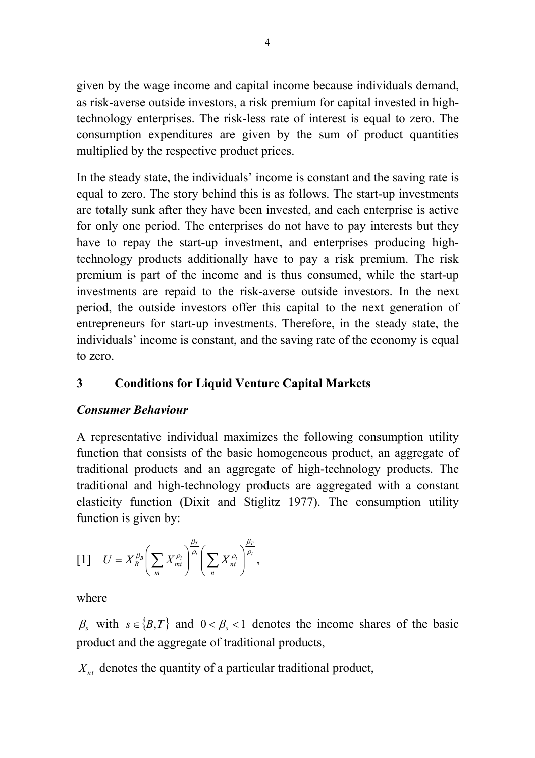given by the wage income and capital income because individuals demand, as risk-averse outside investors, a risk premium for capital invested in hightechnology enterprises. The risk-less rate of interest is equal to zero. The consumption expenditures are given by the sum of product quantities multiplied by the respective product prices.

In the steady state, the individuals' income is constant and the saving rate is equal to zero. The story behind this is as follows. The start-up investments are totally sunk after they have been invested, and each enterprise is active for only one period. The enterprises do not have to pay interests but they have to repay the start-up investment, and enterprises producing hightechnology products additionally have to pay a risk premium. The risk premium is part of the income and is thus consumed, while the start-up investments are repaid to the risk-averse outside investors. In the next period, the outside investors offer this capital to the next generation of entrepreneurs for start-up investments. Therefore, in the steady state, the individuals' income is constant, and the saving rate of the economy is equal to zero.

# **3 Conditions for Liquid Venture Capital Markets**

## *Consumer Behaviour*

A representative individual maximizes the following consumption utility function that consists of the basic homogeneous product, an aggregate of traditional products and an aggregate of high-technology products. The traditional and high-technology products are aggregated with a constant elasticity function (Dixit and Stiglitz 1977). The consumption utility function is given by:

$$
\begin{bmatrix}1\end{bmatrix} \quad U=X_{B}^{\beta_{B}}\left(\sum_{m}X_{mi}^{\rho_{i}}\right)^{\frac{\beta_{T}}{\rho_{i}}}\left(\sum_{n}X_{nt}^{\rho_{t}}\right)^{\frac{\beta_{T}}{\rho_{t}}},
$$

where

 $\beta_s$  with  $s \in \{B, T\}$  and  $0 < \beta_s < 1$  denotes the income shares of the basic product and the aggregate of traditional products,

 $X_{\overline{n}t}$  denotes the quantity of a particular traditional product,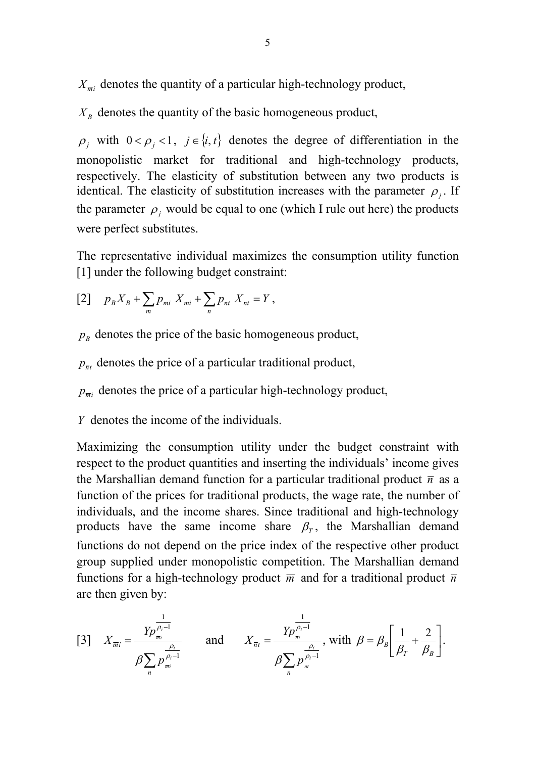$X_{\overline{m}i}$  denotes the quantity of a particular high-technology product,

 $X_B$  denotes the quantity of the basic homogeneous product,

 $\rho_j$  with  $0 < \rho_j < 1$ ,  $j \in \{i, t\}$  denotes the degree of differentiation in the monopolistic market for traditional and high-technology products, respectively. The elasticity of substitution between any two products is identical. The elasticity of substitution increases with the parameter  $\rho_i$ . If the parameter  $\rho_i$  would be equal to one (which I rule out here) the products were perfect substitutes.

The representative individual maximizes the consumption utility function [1] under the following budget constraint:

$$
[2] \t pB XB + \sum_{m} pmi Xmi + \sum_{n} pnt Xnt = Y,
$$

- $p_B$  denotes the price of the basic homogeneous product,
- $p_{\overline{n}t}$  denotes the price of a particular traditional product,
- $p_{\overline{m}}$  denotes the price of a particular high-technology product,
- *Y* denotes the income of the individuals.

Maximizing the consumption utility under the budget constraint with respect to the product quantities and inserting the individuals' income gives the Marshallian demand function for a particular traditional product  $\bar{n}$  as a function of the prices for traditional products, the wage rate, the number of individuals, and the income shares. Since traditional and high-technology products have the same income share  $\beta_{\tau}$ , the Marshallian demand functions do not depend on the price index of the respective other product group supplied under monopolistic competition. The Marshallian demand functions for a high-technology product  $\overline{m}$  and for a traditional product  $\overline{n}$ are then given by:

[3] 
$$
X_{\overline{m}i} = \frac{Yp_{\overline{m}i}^{\frac{1}{\rho_{i}-1}}}{\beta \sum_{n} p_{\overline{m}i}^{\frac{\rho_{i}}{\rho_{i}-1}}}
$$
 and  $X_{\overline{n}t} = \frac{Yp_{\overline{n}i}^{\frac{1}{\rho_{t}-1}}}{\beta \sum_{n} p_{\overline{n}i}^{\frac{\rho_{t}}{\rho_{t}-1}}}$ , with  $\beta = \beta_{B} \left[ \frac{1}{\beta_{T}} + \frac{2}{\beta_{B}} \right]$ .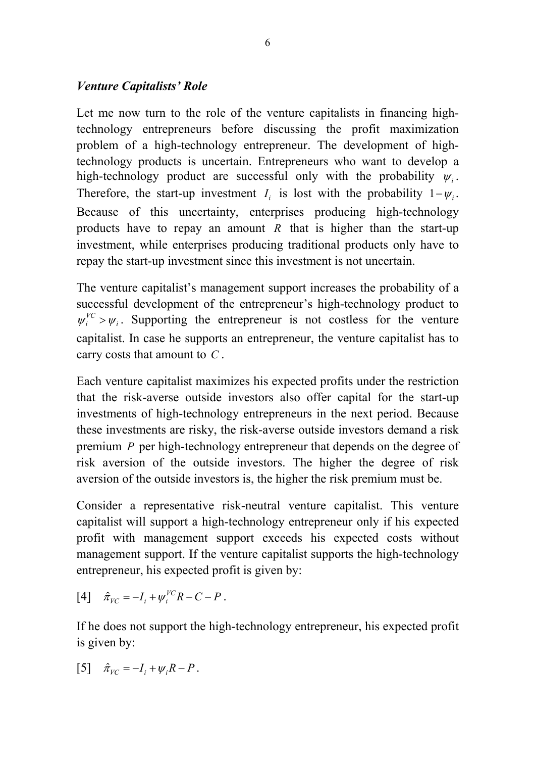## *Venture Capitalists' Role*

Let me now turn to the role of the venture capitalists in financing hightechnology entrepreneurs before discussing the profit maximization problem of a high-technology entrepreneur. The development of hightechnology products is uncertain. Entrepreneurs who want to develop a high-technology product are successful only with the probability  $\psi$ . Therefore, the start-up investment  $I_i$  is lost with the probability  $1-\psi_i$ . Because of this uncertainty, enterprises producing high-technology products have to repay an amount *R* that is higher than the start-up investment, while enterprises producing traditional products only have to repay the start-up investment since this investment is not uncertain.

The venture capitalist's management support increases the probability of a successful development of the entrepreneur's high-technology product to  $\psi_i^{VC} > \psi_i$ . Supporting the entrepreneur is not costless for the venture capitalist. In case he supports an entrepreneur, the venture capitalist has to carry costs that amount to *C* .

Each venture capitalist maximizes his expected profits under the restriction that the risk-averse outside investors also offer capital for the start-up investments of high-technology entrepreneurs in the next period. Because these investments are risky, the risk-averse outside investors demand a risk premium *P* per high-technology entrepreneur that depends on the degree of risk aversion of the outside investors. The higher the degree of risk aversion of the outside investors is, the higher the risk premium must be.

Consider a representative risk-neutral venture capitalist. This venture capitalist will support a high-technology entrepreneur only if his expected profit with management support exceeds his expected costs without management support. If the venture capitalist supports the high-technology entrepreneur, his expected profit is given by:

$$
[4] \quad \hat{\pi}_{VC} = -I_i + \psi_i^{VC} R - C - P \ .
$$

If he does not support the high-technology entrepreneur, his expected profit is given by:

$$
[5] \quad \hat{\pi}_{VC} = -I_i + \psi_i R - P.
$$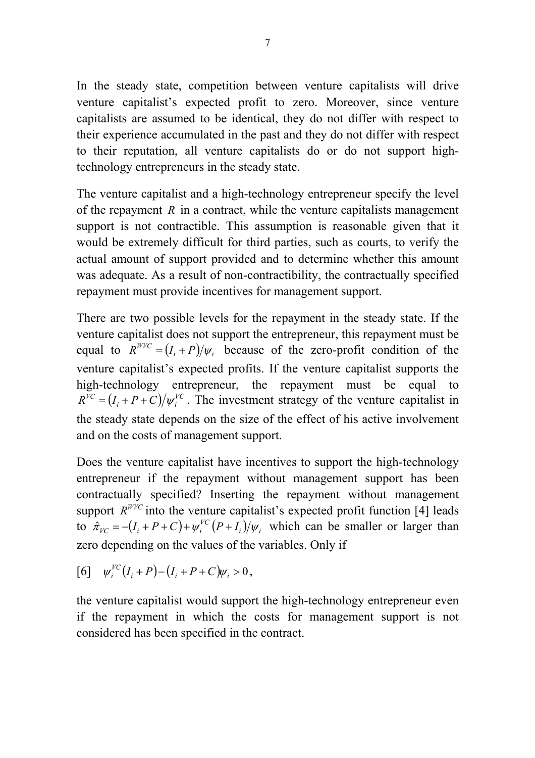In the steady state, competition between venture capitalists will drive venture capitalist's expected profit to zero. Moreover, since venture capitalists are assumed to be identical, they do not differ with respect to their experience accumulated in the past and they do not differ with respect to their reputation, all venture capitalists do or do not support hightechnology entrepreneurs in the steady state.

The venture capitalist and a high-technology entrepreneur specify the level of the repayment *R* in a contract, while the venture capitalists management support is not contractible. This assumption is reasonable given that it would be extremely difficult for third parties, such as courts, to verify the actual amount of support provided and to determine whether this amount was adequate. As a result of non-contractibility, the contractually specified repayment must provide incentives for management support.

There are two possible levels for the repayment in the steady state. If the venture capitalist does not support the entrepreneur, this repayment must be equal to  $R^{WVC} = (I_i + P)/\psi_i$  because of the zero-profit condition of the venture capitalist's expected profits. If the venture capitalist supports the high-technology entrepreneur, the repayment must be equal to  $R^{VC} = (I_i + P + C)/\psi_i^{VC}$ . The investment strategy of the venture capitalist in the steady state depends on the size of the effect of his active involvement and on the costs of management support.

Does the venture capitalist have incentives to support the high-technology entrepreneur if the repayment without management support has been contractually specified? Inserting the repayment without management support  $R^{WVC}$  into the venture capitalist's expected profit function [4] leads to  $\hat{\pi}_{VC} = -(I_i + P + C) + \psi_i^{VC} (P + I_i) / \psi_i$  which can be smaller or larger than zero depending on the values of the variables. Only if

[6] 
$$
\psi_i^{VC}(I_i + P) - (I_i + P + C)\psi_i > 0
$$
,

the venture capitalist would support the high-technology entrepreneur even if the repayment in which the costs for management support is not considered has been specified in the contract.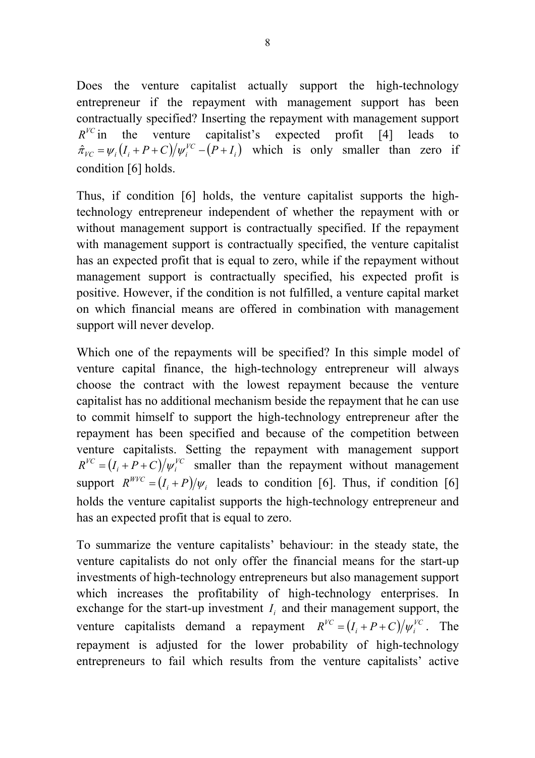Does the venture capitalist actually support the high-technology entrepreneur if the repayment with management support has been contractually specified? Inserting the repayment with management support  $R^{VC}$  in the venture capitalist's expected profit [4] leads to  $\hat{\pi}_{VC} = \psi_i (I_i + P + C) / \psi_i^{VC} - (P + I_i)$  which is only smaller than zero if condition [6] holds.

Thus, if condition [6] holds, the venture capitalist supports the hightechnology entrepreneur independent of whether the repayment with or without management support is contractually specified. If the repayment with management support is contractually specified, the venture capitalist has an expected profit that is equal to zero, while if the repayment without management support is contractually specified, his expected profit is positive. However, if the condition is not fulfilled, a venture capital market on which financial means are offered in combination with management support will never develop.

Which one of the repayments will be specified? In this simple model of venture capital finance, the high-technology entrepreneur will always choose the contract with the lowest repayment because the venture capitalist has no additional mechanism beside the repayment that he can use to commit himself to support the high-technology entrepreneur after the repayment has been specified and because of the competition between venture capitalists. Setting the repayment with management support  $R^{VC} = (I_i + P + C)/\psi_i^{VC}$  smaller than the repayment without management support  $R^{WVC} = (I_i + P)/\psi_i$  leads to condition [6]. Thus, if condition [6] holds the venture capitalist supports the high-technology entrepreneur and has an expected profit that is equal to zero.

To summarize the venture capitalists' behaviour: in the steady state, the venture capitalists do not only offer the financial means for the start-up investments of high-technology entrepreneurs but also management support which increases the profitability of high-technology enterprises. In exchange for the start-up investment  $I_i$  and their management support, the venture capitalists demand a repayment  $R^{VC} = (I_i + P + C)/\psi_i^{VC}$ . The repayment is adjusted for the lower probability of high-technology entrepreneurs to fail which results from the venture capitalists' active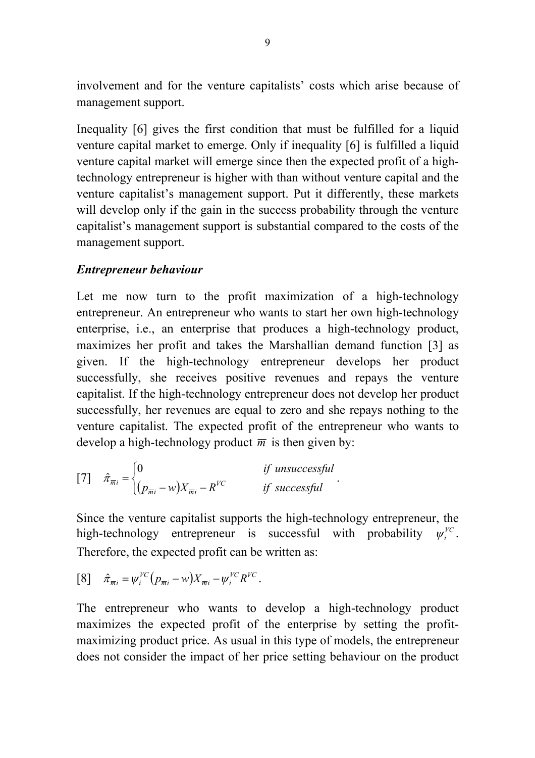involvement and for the venture capitalists' costs which arise because of management support.

Inequality [6] gives the first condition that must be fulfilled for a liquid venture capital market to emerge. Only if inequality [6] is fulfilled a liquid venture capital market will emerge since then the expected profit of a hightechnology entrepreneur is higher with than without venture capital and the venture capitalist's management support. Put it differently, these markets will develop only if the gain in the success probability through the venture capitalist's management support is substantial compared to the costs of the management support.

## *Entrepreneur behaviour*

Let me now turn to the profit maximization of a high-technology entrepreneur. An entrepreneur who wants to start her own high-technology enterprise, i.e., an enterprise that produces a high-technology product, maximizes her profit and takes the Marshallian demand function [3] as given. If the high-technology entrepreneur develops her product successfully, she receives positive revenues and repays the venture capitalist. If the high-technology entrepreneur does not develop her product successfully, her revenues are equal to zero and she repays nothing to the venture capitalist. The expected profit of the entrepreneur who wants to develop a high-technology product  $\overline{m}$  is then given by:

$$
[7] \quad \hat{\pi}_{\overline{m}i} = \begin{cases} 0 & \text{if unsuccessful} \\ (p_{\overline{m}i} - w)X_{\overline{m}i} - R^{VC} & \text{if successful} \end{cases}.
$$

Since the venture capitalist supports the high-technology entrepreneur, the high-technology entrepreneur is successful with probability  $\psi_i^{FC}$ . Therefore, the expected profit can be written as:

$$
[8] \quad \hat{\pi}_{\overline{m}i} = \psi_i^{VC} (p_{\overline{m}i} - w) X_{\overline{m}i} - \psi_i^{VC} R^{VC}.
$$

The entrepreneur who wants to develop a high-technology product maximizes the expected profit of the enterprise by setting the profitmaximizing product price. As usual in this type of models, the entrepreneur does not consider the impact of her price setting behaviour on the product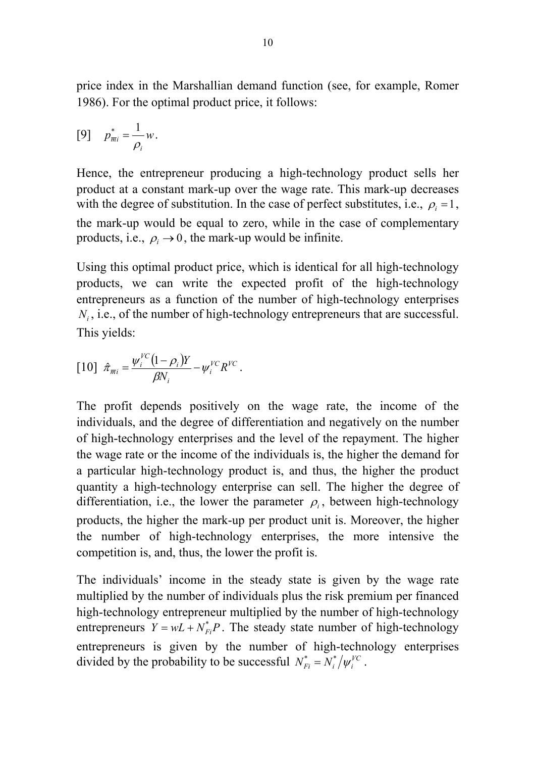price index in the Marshallian demand function (see, for example, Romer 1986). For the optimal product price, it follows:

$$
[9] \quad p_{\overline{m}i}^* = \frac{1}{\rho_i} w.
$$

Hence, the entrepreneur producing a high-technology product sells her product at a constant mark-up over the wage rate. This mark-up decreases with the degree of substitution. In the case of perfect substitutes, i.e.,  $\rho_i = 1$ , the mark-up would be equal to zero, while in the case of complementary products, i.e.,  $\rho_i \rightarrow 0$ , the mark-up would be infinite.

Using this optimal product price, which is identical for all high-technology products, we can write the expected profit of the high-technology entrepreneurs as a function of the number of high-technology enterprises *N<sub>i</sub>*, i.e., of the number of high-technology entrepreneurs that are successful. This yields:

$$
[10] \hat{\pi}_{\overline{m}i} = \frac{\psi_i^{FC} (1 - \rho_i) Y}{\beta N_i} - \psi_i^{FC} R^{FC}.
$$

The profit depends positively on the wage rate, the income of the individuals, and the degree of differentiation and negatively on the number of high-technology enterprises and the level of the repayment. The higher the wage rate or the income of the individuals is, the higher the demand for a particular high-technology product is, and thus, the higher the product quantity a high-technology enterprise can sell. The higher the degree of differentiation, i.e., the lower the parameter  $\rho_i$ , between high-technology products, the higher the mark-up per product unit is. Moreover, the higher the number of high-technology enterprises, the more intensive the competition is, and, thus, the lower the profit is.

The individuals' income in the steady state is given by the wage rate multiplied by the number of individuals plus the risk premium per financed high-technology entrepreneur multiplied by the number of high-technology entrepreneurs  $Y = wL + N_{Fi}^*P$ . The steady state number of high-technology entrepreneurs is given by the number of high-technology enterprises divided by the probability to be successful  $N_{Fi}^* = N_i^* / \psi_i^{VC}$ .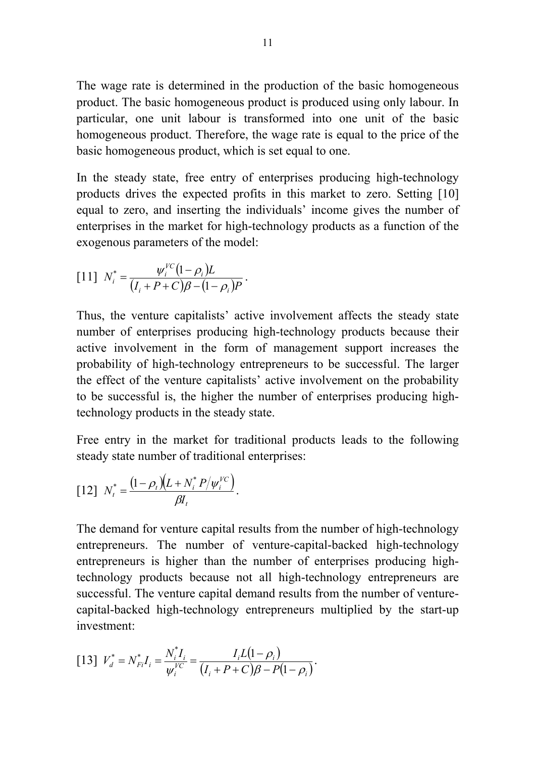The wage rate is determined in the production of the basic homogeneous product. The basic homogeneous product is produced using only labour. In particular, one unit labour is transformed into one unit of the basic homogeneous product. Therefore, the wage rate is equal to the price of the basic homogeneous product, which is set equal to one.

In the steady state, free entry of enterprises producing high-technology products drives the expected profits in this market to zero. Setting [10] equal to zero, and inserting the individuals' income gives the number of enterprises in the market for high-technology products as a function of the exogenous parameters of the model:

[11] 
$$
N_i^* = \frac{\psi_i^{VC}(1-\rho_i)L}{(I_i+P+C)\beta-(1-\rho_i)P}
$$
.

Thus, the venture capitalists' active involvement affects the steady state number of enterprises producing high-technology products because their active involvement in the form of management support increases the probability of high-technology entrepreneurs to be successful. The larger the effect of the venture capitalists' active involvement on the probability to be successful is, the higher the number of enterprises producing hightechnology products in the steady state.

Free entry in the market for traditional products leads to the following steady state number of traditional enterprises:

$$
[12] N_t^* = \frac{(1 - \rho_t)(L + N_t^* P / \psi_i^{VC})}{\beta I_t}.
$$

The demand for venture capital results from the number of high-technology entrepreneurs. The number of venture-capital-backed high-technology entrepreneurs is higher than the number of enterprises producing hightechnology products because not all high-technology entrepreneurs are successful. The venture capital demand results from the number of venturecapital-backed high-technology entrepreneurs multiplied by the start-up investment:

$$
[13] V_d^* = N_{Fi}^* I_i = \frac{N_i^* I_i}{\psi_i^{VC}} = \frac{I_i L(1 - \rho_i)}{(I_i + P + C)\beta - P(1 - \rho_i)}.
$$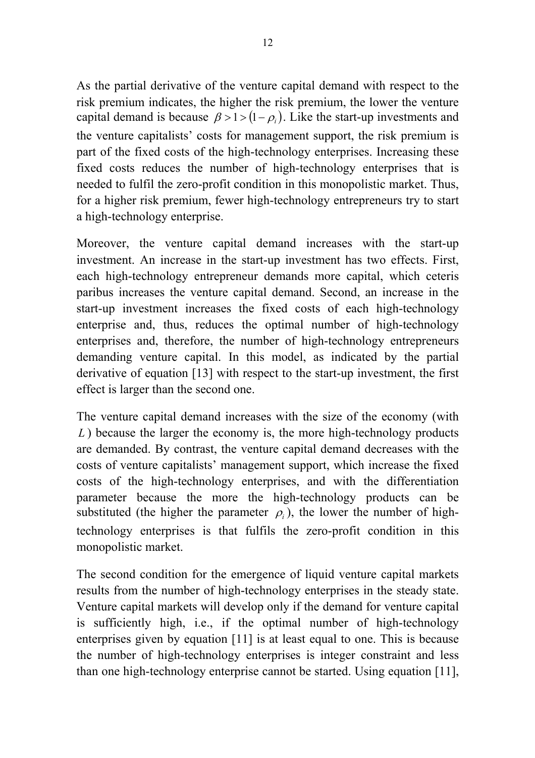As the partial derivative of the venture capital demand with respect to the risk premium indicates, the higher the risk premium, the lower the venture capital demand is because  $\beta > 1 > (1 - \rho_i)$ . Like the start-up investments and the venture capitalists' costs for management support, the risk premium is part of the fixed costs of the high-technology enterprises. Increasing these fixed costs reduces the number of high-technology enterprises that is needed to fulfil the zero-profit condition in this monopolistic market. Thus, for a higher risk premium, fewer high-technology entrepreneurs try to start a high-technology enterprise.

Moreover, the venture capital demand increases with the start-up investment. An increase in the start-up investment has two effects. First, each high-technology entrepreneur demands more capital, which ceteris paribus increases the venture capital demand. Second, an increase in the start-up investment increases the fixed costs of each high-technology enterprise and, thus, reduces the optimal number of high-technology enterprises and, therefore, the number of high-technology entrepreneurs demanding venture capital. In this model, as indicated by the partial derivative of equation [13] with respect to the start-up investment, the first effect is larger than the second one.

The venture capital demand increases with the size of the economy (with *L*) because the larger the economy is, the more high-technology products are demanded. By contrast, the venture capital demand decreases with the costs of venture capitalists' management support, which increase the fixed costs of the high-technology enterprises, and with the differentiation parameter because the more the high-technology products can be substituted (the higher the parameter  $\rho_i$ ), the lower the number of hightechnology enterprises is that fulfils the zero-profit condition in this monopolistic market.

The second condition for the emergence of liquid venture capital markets results from the number of high-technology enterprises in the steady state. Venture capital markets will develop only if the demand for venture capital is sufficiently high, i.e., if the optimal number of high-technology enterprises given by equation [11] is at least equal to one. This is because the number of high-technology enterprises is integer constraint and less than one high-technology enterprise cannot be started. Using equation [11],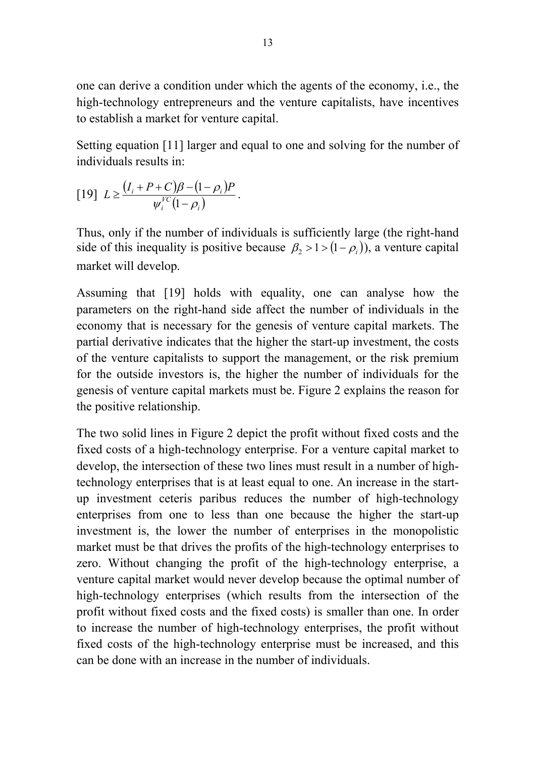one can derive a condition under which the agents of the economy, i.e., the high-technology entrepreneurs and the venture capitalists, have incentives to establish a market for venture capital.

Setting equation [11] larger and equal to one and solving for the number of individuals results in:

$$
[19]\ L \geq \frac{(I_i + P + C)\beta - (1 - \rho_i)P}{\psi_i^{VC}(1 - \rho_i)}.
$$

Thus, only if the number of individuals is sufficiently large (the right-hand side of this inequality is positive because  $\beta_2 > 1 > (1 - \rho_i)$ , a venture capital market will develop.

Assuming that [19] holds with equality, one can analyse how the parameters on the right-hand side affect the number of individuals in the economy that is necessary for the genesis of venture capital markets. The partial derivative indicates that the higher the start-up investment, the costs of the venture capitalists to support the management, or the risk premium for the outside investors is, the higher the number of individuals for the genesis of venture capital markets must be. Figure 2 explains the reason for the positive relationship.

The two solid lines in Figure 2 depict the profit without fixed costs and the fixed costs of a high-technology enterprise. For a venture capital market to develop, the intersection of these two lines must result in a number of hightechnology enterprises that is at least equal to one. An increase in the startup investment ceteris paribus reduces the number of high-technology enterprises from one to less than one because the higher the start-up investment is, the lower the number of enterprises in the monopolistic market must be that drives the profits of the high-technology enterprises to zero. Without changing the profit of the high-technology enterprise, a venture capital market would never develop because the optimal number of high-technology enterprises (which results from the intersection of the profit without fixed costs and the fixed costs) is smaller than one. In order to increase the number of high-technology enterprises, the profit without fixed costs of the high-technology enterprise must be increased, and this can be done with an increase in the number of individuals.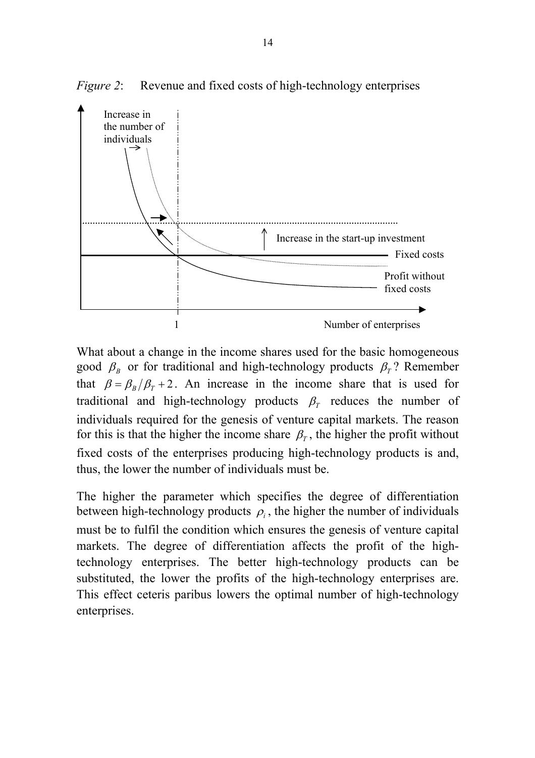

*Figure 2*: Revenue and fixed costs of high-technology enterprises

What about a change in the income shares used for the basic homogeneous good  $\beta_B$  or for traditional and high-technology products  $\beta_T$ ? Remember that  $\beta = \beta_B/\beta_T + 2$ . An increase in the income share that is used for traditional and high-technology products  $\beta$ <sup>T</sup> reduces the number of individuals required for the genesis of venture capital markets. The reason for this is that the higher the income share  $\beta_T$ , the higher the profit without fixed costs of the enterprises producing high-technology products is and, thus, the lower the number of individuals must be.

The higher the parameter which specifies the degree of differentiation between high-technology products  $\rho_i$ , the higher the number of individuals must be to fulfil the condition which ensures the genesis of venture capital markets. The degree of differentiation affects the profit of the hightechnology enterprises. The better high-technology products can be substituted, the lower the profits of the high-technology enterprises are. This effect ceteris paribus lowers the optimal number of high-technology enterprises.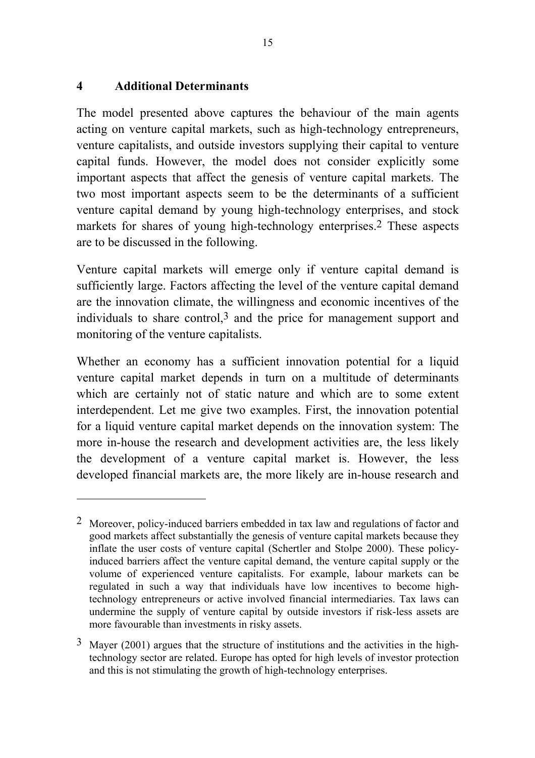## **4 Additional Determinants**

l

The model presented above captures the behaviour of the main agents acting on venture capital markets, such as high-technology entrepreneurs, venture capitalists, and outside investors supplying their capital to venture capital funds. However, the model does not consider explicitly some important aspects that affect the genesis of venture capital markets. The two most important aspects seem to be the determinants of a sufficient venture capital demand by young high-technology enterprises, and stock markets for shares of young high-technology enterprises.2 These aspects are to be discussed in the following.

Venture capital markets will emerge only if venture capital demand is sufficiently large. Factors affecting the level of the venture capital demand are the innovation climate, the willingness and economic incentives of the individuals to share control, $3$  and the price for management support and monitoring of the venture capitalists.

Whether an economy has a sufficient innovation potential for a liquid venture capital market depends in turn on a multitude of determinants which are certainly not of static nature and which are to some extent interdependent. Let me give two examples. First, the innovation potential for a liquid venture capital market depends on the innovation system: The more in-house the research and development activities are, the less likely the development of a venture capital market is. However, the less developed financial markets are, the more likely are in-house research and

<sup>2</sup> Moreover, policy-induced barriers embedded in tax law and regulations of factor and good markets affect substantially the genesis of venture capital markets because they inflate the user costs of venture capital (Schertler and Stolpe 2000). These policyinduced barriers affect the venture capital demand, the venture capital supply or the volume of experienced venture capitalists. For example, labour markets can be regulated in such a way that individuals have low incentives to become hightechnology entrepreneurs or active involved financial intermediaries. Tax laws can undermine the supply of venture capital by outside investors if risk-less assets are more favourable than investments in risky assets.

 $3$  Mayer (2001) argues that the structure of institutions and the activities in the hightechnology sector are related. Europe has opted for high levels of investor protection and this is not stimulating the growth of high-technology enterprises.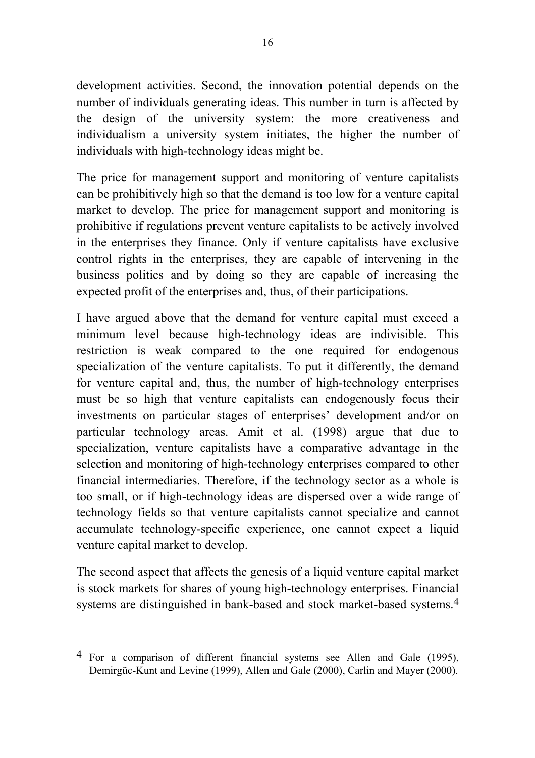development activities. Second, the innovation potential depends on the number of individuals generating ideas. This number in turn is affected by the design of the university system: the more creativeness and individualism a university system initiates, the higher the number of individuals with high-technology ideas might be.

The price for management support and monitoring of venture capitalists can be prohibitively high so that the demand is too low for a venture capital market to develop. The price for management support and monitoring is prohibitive if regulations prevent venture capitalists to be actively involved in the enterprises they finance. Only if venture capitalists have exclusive control rights in the enterprises, they are capable of intervening in the business politics and by doing so they are capable of increasing the expected profit of the enterprises and, thus, of their participations.

I have argued above that the demand for venture capital must exceed a minimum level because high-technology ideas are indivisible. This restriction is weak compared to the one required for endogenous specialization of the venture capitalists. To put it differently, the demand for venture capital and, thus, the number of high-technology enterprises must be so high that venture capitalists can endogenously focus their investments on particular stages of enterprises' development and/or on particular technology areas. Amit et al. (1998) argue that due to specialization, venture capitalists have a comparative advantage in the selection and monitoring of high-technology enterprises compared to other financial intermediaries. Therefore, if the technology sector as a whole is too small, or if high-technology ideas are dispersed over a wide range of technology fields so that venture capitalists cannot specialize and cannot accumulate technology-specific experience, one cannot expect a liquid venture capital market to develop.

The second aspect that affects the genesis of a liquid venture capital market is stock markets for shares of young high-technology enterprises. Financial systems are distinguished in bank-based and stock market-based systems.4

l

<sup>4</sup> For a comparison of different financial systems see Allen and Gale (1995), Demirgüc-Kunt and Levine (1999), Allen and Gale (2000), Carlin and Mayer (2000).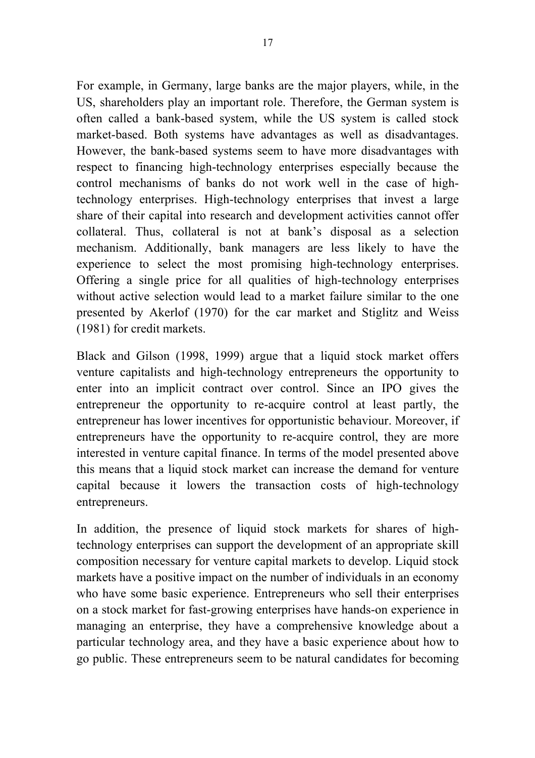For example, in Germany, large banks are the major players, while, in the US, shareholders play an important role. Therefore, the German system is often called a bank-based system, while the US system is called stock market-based. Both systems have advantages as well as disadvantages. However, the bank-based systems seem to have more disadvantages with respect to financing high-technology enterprises especially because the control mechanisms of banks do not work well in the case of hightechnology enterprises. High-technology enterprises that invest a large share of their capital into research and development activities cannot offer collateral. Thus, collateral is not at bank's disposal as a selection mechanism. Additionally, bank managers are less likely to have the experience to select the most promising high-technology enterprises. Offering a single price for all qualities of high-technology enterprises without active selection would lead to a market failure similar to the one presented by Akerlof (1970) for the car market and Stiglitz and Weiss (1981) for credit markets.

Black and Gilson (1998, 1999) argue that a liquid stock market offers venture capitalists and high-technology entrepreneurs the opportunity to enter into an implicit contract over control. Since an IPO gives the entrepreneur the opportunity to re-acquire control at least partly, the entrepreneur has lower incentives for opportunistic behaviour. Moreover, if entrepreneurs have the opportunity to re-acquire control, they are more interested in venture capital finance. In terms of the model presented above this means that a liquid stock market can increase the demand for venture capital because it lowers the transaction costs of high-technology entrepreneurs.

In addition, the presence of liquid stock markets for shares of hightechnology enterprises can support the development of an appropriate skill composition necessary for venture capital markets to develop. Liquid stock markets have a positive impact on the number of individuals in an economy who have some basic experience. Entrepreneurs who sell their enterprises on a stock market for fast-growing enterprises have hands-on experience in managing an enterprise, they have a comprehensive knowledge about a particular technology area, and they have a basic experience about how to go public. These entrepreneurs seem to be natural candidates for becoming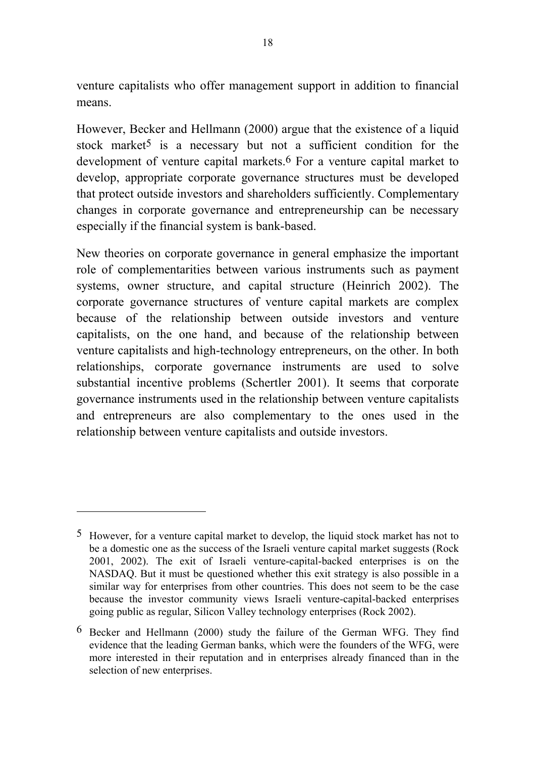venture capitalists who offer management support in addition to financial means.

However, Becker and Hellmann (2000) argue that the existence of a liquid stock market<sup>5</sup> is a necessary but not a sufficient condition for the development of venture capital markets.6 For a venture capital market to develop, appropriate corporate governance structures must be developed that protect outside investors and shareholders sufficiently. Complementary changes in corporate governance and entrepreneurship can be necessary especially if the financial system is bank-based.

New theories on corporate governance in general emphasize the important role of complementarities between various instruments such as payment systems, owner structure, and capital structure (Heinrich 2002). The corporate governance structures of venture capital markets are complex because of the relationship between outside investors and venture capitalists, on the one hand, and because of the relationship between venture capitalists and high-technology entrepreneurs, on the other. In both relationships, corporate governance instruments are used to solve substantial incentive problems (Schertler 2001). It seems that corporate governance instruments used in the relationship between venture capitalists and entrepreneurs are also complementary to the ones used in the relationship between venture capitalists and outside investors.

l

<sup>5</sup> However, for a venture capital market to develop, the liquid stock market has not to be a domestic one as the success of the Israeli venture capital market suggests (Rock 2001, 2002). The exit of Israeli venture-capital-backed enterprises is on the NASDAQ. But it must be questioned whether this exit strategy is also possible in a similar way for enterprises from other countries. This does not seem to be the case because the investor community views Israeli venture-capital-backed enterprises going public as regular, Silicon Valley technology enterprises (Rock 2002).

<sup>6</sup> Becker and Hellmann (2000) study the failure of the German WFG. They find evidence that the leading German banks, which were the founders of the WFG, were more interested in their reputation and in enterprises already financed than in the selection of new enterprises.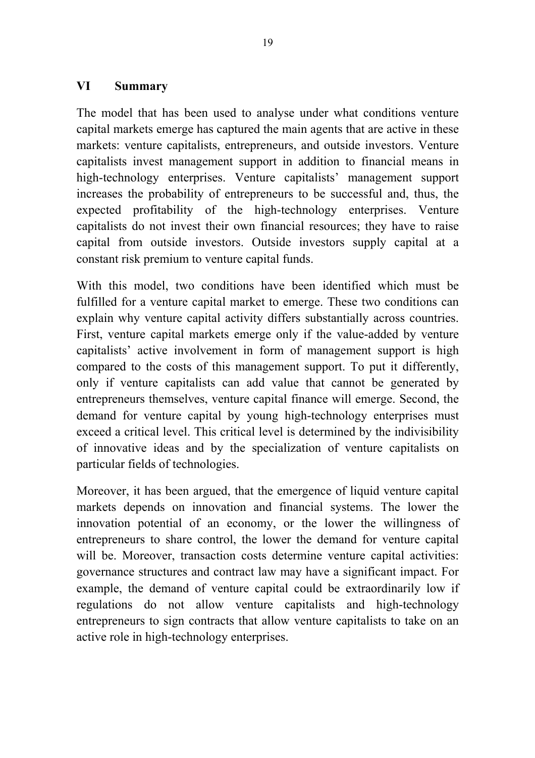## **VI Summary**

The model that has been used to analyse under what conditions venture capital markets emerge has captured the main agents that are active in these markets: venture capitalists, entrepreneurs, and outside investors. Venture capitalists invest management support in addition to financial means in high-technology enterprises. Venture capitalists' management support increases the probability of entrepreneurs to be successful and, thus, the expected profitability of the high-technology enterprises. Venture capitalists do not invest their own financial resources; they have to raise capital from outside investors. Outside investors supply capital at a constant risk premium to venture capital funds.

With this model, two conditions have been identified which must be fulfilled for a venture capital market to emerge. These two conditions can explain why venture capital activity differs substantially across countries. First, venture capital markets emerge only if the value-added by venture capitalists' active involvement in form of management support is high compared to the costs of this management support. To put it differently, only if venture capitalists can add value that cannot be generated by entrepreneurs themselves, venture capital finance will emerge. Second, the demand for venture capital by young high-technology enterprises must exceed a critical level. This critical level is determined by the indivisibility of innovative ideas and by the specialization of venture capitalists on particular fields of technologies.

Moreover, it has been argued, that the emergence of liquid venture capital markets depends on innovation and financial systems. The lower the innovation potential of an economy, or the lower the willingness of entrepreneurs to share control, the lower the demand for venture capital will be. Moreover, transaction costs determine venture capital activities: governance structures and contract law may have a significant impact. For example, the demand of venture capital could be extraordinarily low if regulations do not allow venture capitalists and high-technology entrepreneurs to sign contracts that allow venture capitalists to take on an active role in high-technology enterprises.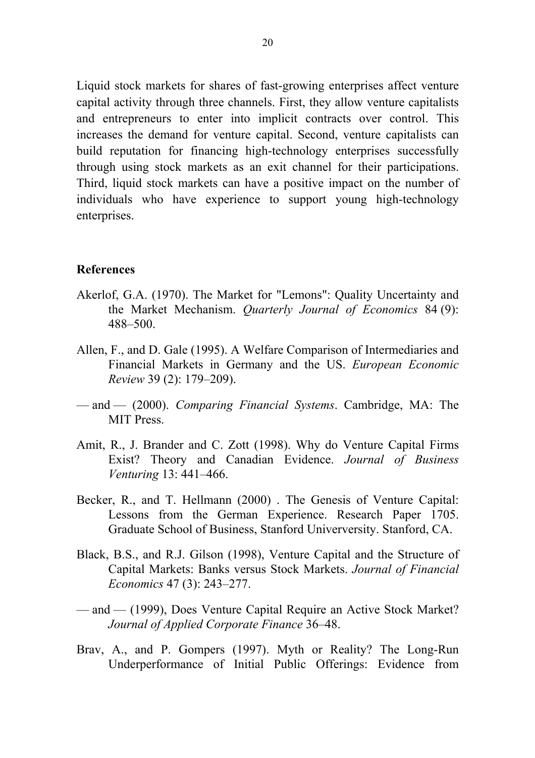Liquid stock markets for shares of fast-growing enterprises affect venture capital activity through three channels. First, they allow venture capitalists and entrepreneurs to enter into implicit contracts over control. This increases the demand for venture capital. Second, venture capitalists can build reputation for financing high-technology enterprises successfully through using stock markets as an exit channel for their participations. Third, liquid stock markets can have a positive impact on the number of individuals who have experience to support young high-technology enterprises.

#### **References**

- Akerlof, G.A. (1970). The Market for "Lemons": Quality Uncertainty and the Market Mechanism. *Quarterly Journal of Economics* 84 (9): 488–500.
- Allen, F., and D. Gale (1995). A Welfare Comparison of Intermediaries and Financial Markets in Germany and the US. *European Economic Review* 39 (2): 179–209).
- and (2000). *Comparing Financial Systems*. Cambridge, MA: The MIT Press.
- Amit, R., J. Brander and C. Zott (1998). Why do Venture Capital Firms Exist? Theory and Canadian Evidence. *Journal of Business Venturing* 13: 441–466.
- Becker, R., and T. Hellmann (2000) . The Genesis of Venture Capital: Lessons from the German Experience. Research Paper 1705. Graduate School of Business, Stanford Univerversity. Stanford, CA.
- Black, B.S., and R.J. Gilson (1998), Venture Capital and the Structure of Capital Markets: Banks versus Stock Markets. *Journal of Financial Economics* 47 (3): 243–277.
- and (1999), Does Venture Capital Require an Active Stock Market? *Journal of Applied Corporate Finance* 36–48.
- Brav, A., and P. Gompers (1997). Myth or Reality? The Long-Run Underperformance of Initial Public Offerings: Evidence from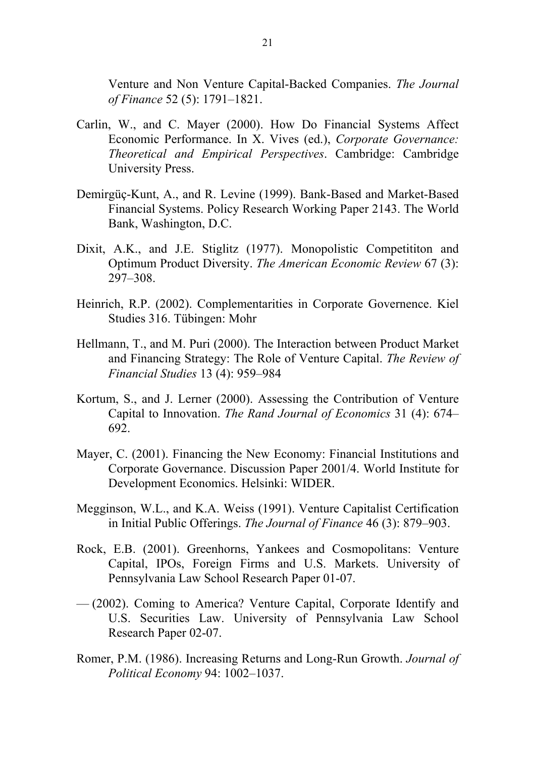Venture and Non Venture Capital-Backed Companies. *The Journal of Finance* 52 (5): 1791–1821.

- Carlin, W., and C. Mayer (2000). How Do Financial Systems Affect Economic Performance. In X. Vives (ed.), *Corporate Governance: Theoretical and Empirical Perspectives*. Cambridge: Cambridge University Press.
- Demirgüç-Kunt, A., and R. Levine (1999). Bank-Based and Market-Based Financial Systems. Policy Research Working Paper 2143. The World Bank, Washington, D.C.
- Dixit, A.K., and J.E. Stiglitz (1977). Monopolistic Competititon and Optimum Product Diversity. *The American Economic Review* 67 (3): 297–308.
- Heinrich, R.P. (2002). Complementarities in Corporate Governence. Kiel Studies 316. Tübingen: Mohr
- Hellmann, T., and M. Puri (2000). The Interaction between Product Market and Financing Strategy: The Role of Venture Capital. *The Review of Financial Studies* 13 (4): 959–984
- Kortum, S., and J. Lerner (2000). Assessing the Contribution of Venture Capital to Innovation. *The Rand Journal of Economics* 31 (4): 674– 692.
- Mayer, C. (2001). Financing the New Economy: Financial Institutions and Corporate Governance. Discussion Paper 2001/4. World Institute for Development Economics. Helsinki: WIDER.
- Megginson, W.L., and K.A. Weiss (1991). Venture Capitalist Certification in Initial Public Offerings. *The Journal of Finance* 46 (3): 879–903.
- Rock, E.B. (2001). Greenhorns, Yankees and Cosmopolitans: Venture Capital, IPOs, Foreign Firms and U.S. Markets. University of Pennsylvania Law School Research Paper 01-07.
- (2002). Coming to America? Venture Capital, Corporate Identify and U.S. Securities Law. University of Pennsylvania Law School Research Paper 02-07.
- Romer, P.M. (1986). Increasing Returns and Long-Run Growth. *Journal of Political Economy* 94: 1002–1037.